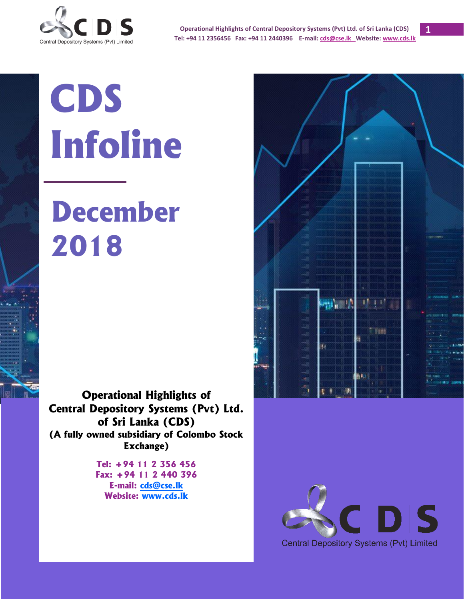

**Operational Highlights of Central Depository Systems (Pvt) Ltd. of Sri Lanka (CDS) Tel: +94 11 2356456 Fax: +94 11 2440396 E-mail[: cds@cse.lk](mailto:cds@cse.lk) Website[: www.cds.lk](http://www.cds.lk/)**

# **CDS Infoline**

## **December 2018**

**Operational Highlights of Central Depository Systems (Pvt) Ltd. of Sri Lanka (CDS) (A fully owned subsidiary of Colombo Stock Exchange)**

> **Tel: +94 11 2 356 456 Fax: +94 11 2 440 396 E-mail: [cds@cse.lk](mailto:cds@cse.lk) Website: [www.cds.lk](http://www.cds.lk/)**



**1**

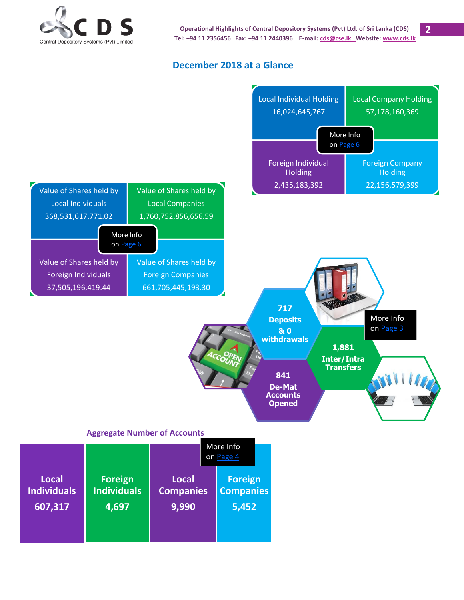

**2**

#### **December 2018 at a Glance**

<span id="page-1-0"></span>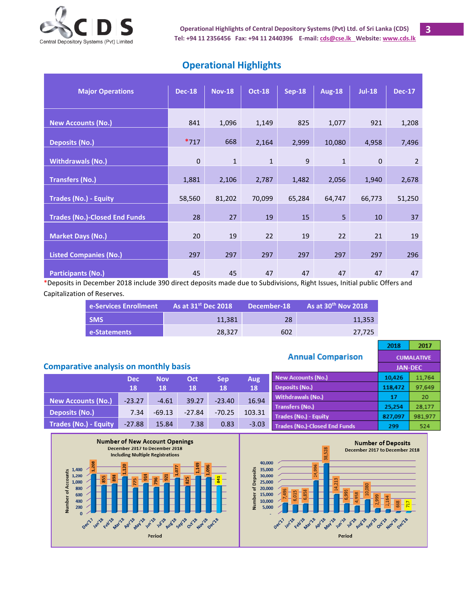

| <b>Operational Highlights</b> |  |
|-------------------------------|--|
|-------------------------------|--|

| <b>Major Operations</b>              | <b>Dec-18</b> | <b>Nov-18</b> | <b>Oct-18</b> | <b>Sep-18</b> | <b>Aug-18</b> | <b>Jul-18</b> | <b>Dec-17</b>  |
|--------------------------------------|---------------|---------------|---------------|---------------|---------------|---------------|----------------|
|                                      |               |               |               |               |               |               |                |
|                                      |               |               |               |               |               |               |                |
| <b>New Accounts (No.)</b>            | 841           | 1,096         | 1,149         | 825           | 1,077         | 921           | 1,208          |
|                                      |               |               |               |               |               |               |                |
| <b>Deposits (No.)</b>                | $*717$        | 668           | 2,164         | 2,999         | 10,080        | 4,958         | 7,496          |
|                                      |               |               |               |               |               |               |                |
| <b>Withdrawals (No.)</b>             | $\mathbf 0$   | $\mathbf{1}$  | $\mathbf{1}$  | 9             | $\mathbf{1}$  | $\mathbf 0$   | $\overline{2}$ |
|                                      |               |               |               |               |               |               |                |
| <b>Transfers (No.)</b>               | 1,881         | 2,106         | 2,787         | 1,482         | 2,056         | 1,940         | 2,678          |
|                                      |               |               |               |               |               |               |                |
| <b>Trades (No.) - Equity</b>         | 58,560        | 81,202        | 70,099        | 65,284        | 64,747        | 66,773        | 51,250         |
|                                      |               |               |               |               |               |               |                |
| <b>Trades (No.)-Closed End Funds</b> | 28            | 27            | 19            | 15            | 5             | 10            | 37             |
|                                      |               |               |               |               |               |               |                |
| <b>Market Days (No.)</b>             | 20            | 19            | 22            | 19            | 22            | 21            | 19             |
|                                      |               |               |               |               |               |               |                |
| <b>Listed Companies (No.)</b>        | 297           | 297           | 297           | 297           | 297           | 297           | 296            |
|                                      |               |               |               |               |               |               |                |
| <b>Participants (No.)</b>            | 45            | 45            | 47            | 47            | 47            | 47            | 47             |

\*Deposits in December 2018 include 390 direct deposits made due to Subdivisions, Right Issues, Initial public Offers and Capitalization of Reserves.

| <b>e-Services Enrollment</b> | $\blacksquare$ As at 31st Dec 2018 $\blacksquare$ | ا December-18 ا | As at $30th$ Nov 2018 |
|------------------------------|---------------------------------------------------|-----------------|-----------------------|
| <b>SMS</b>                   | 11.381                                            | 28              | 11,353                |
| e-Statements                 | 28.327                                            | 602             | 27.725                |

#### 2018 **Annual Comparison CUMALATIVE Comparative analysis on monthly basis JAN-DEC Dec Nov Oct Sep Aug New Accounts (No.)** 10,426 **18 18 18 18 18 Deposits (No.)** 118,472 **Withdrawals (No.)** 17 **New Accounts (No.) | -23.27 | -4.61 | 39.27 | -23.40 | 16.94 Transfers (No.)** 25,254 **Deposits (No.)** 7.34 -69.13 -27.84 -70.25 103.31 Trades (No.) - Equity 827,097 **Trades (No.)-Closed End Funds**





2017

11,764

97,649

20

28,177 981,977

524

299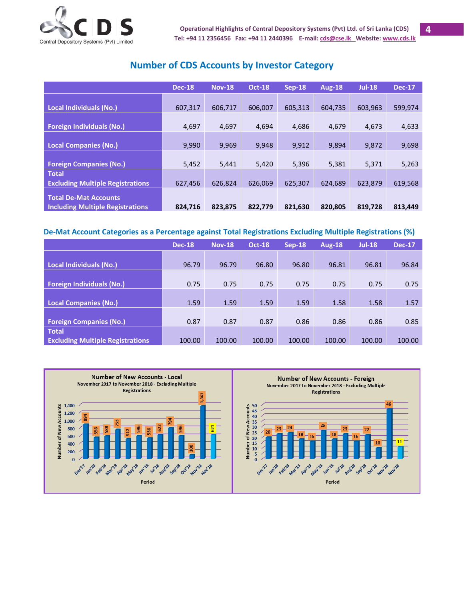

| <b>Number of CDS Accounts by Investor Category</b> |  |
|----------------------------------------------------|--|
|----------------------------------------------------|--|

<span id="page-3-0"></span>

|                                                                         | <b>Dec-18</b> | <b>Nov-18</b> | <b>Oct-18</b> | $Sep-18$ | <b>Aug-18</b> | <b>Jul-18</b> | <b>Dec-17</b> |
|-------------------------------------------------------------------------|---------------|---------------|---------------|----------|---------------|---------------|---------------|
| Local Individuals (No.)                                                 | 607,317       | 606,717       | 606,007       | 605,313  | 604.735       | 603,963       | 599,974       |
| <b>Foreign Individuals (No.)</b>                                        | 4,697         | 4,697         | 4,694         | 4,686    | 4,679         | 4,673         | 4,633         |
| <b>Local Companies (No.)</b>                                            | 9,990         | 9,969         | 9.948         | 9,912    | 9.894         | 9,872         | 9,698         |
| <b>Foreign Companies (No.)</b>                                          | 5,452         | 5,441         | 5,420         | 5,396    | 5,381         | 5,371         | 5,263         |
| <b>Total</b><br><b>Excluding Multiple Registrations</b>                 | 627,456       | 626.824       | 626,069       | 625,307  | 624,689       | 623,879       | 619,568       |
| <b>Total De-Mat Accounts</b><br><b>Including Multiple Registrations</b> | 824,716       | 823,875       | 822,779       | 821,630  | 820,805       | 819,728       | 813,449       |

#### **De-Mat Account Categories as a Percentage against Total Registrations Excluding Multiple Registrations (%)**

|                                         | <b>Dec-18</b> | <b>Nov-18</b> | <b>Oct-18</b> | $Sep-18$ | <b>Aug-18</b> | <b>Jul-18</b> | <b>Dec-17</b> |
|-----------------------------------------|---------------|---------------|---------------|----------|---------------|---------------|---------------|
|                                         |               |               |               |          |               |               |               |
| <b>Local Individuals (No.)</b>          | 96.79         | 96.79         | 96.80         | 96.80    | 96.81         | 96.81         | 96.84         |
|                                         |               |               |               |          |               |               |               |
| <b>Foreign Individuals (No.)</b>        | 0.75          | 0.75          | 0.75          | 0.75     | 0.75          | 0.75          | 0.75          |
|                                         |               |               |               |          |               |               |               |
| <b>Local Companies (No.)</b>            | 1.59          | 1.59          | 1.59          | 1.59     | 1.58          | 1.58          | 1.57          |
|                                         |               |               |               |          |               |               |               |
| <b>Foreign Companies (No.)</b>          | 0.87          | 0.87          | 0.87          | 0.86     | 0.86          | 0.86          | 0.85          |
| <b>Total</b>                            |               |               |               |          |               |               |               |
| <b>Excluding Multiple Registrations</b> | 100.00        | 100.00        | 100.00        | 100.00   | 100.00        | 100.00        | 100.00        |

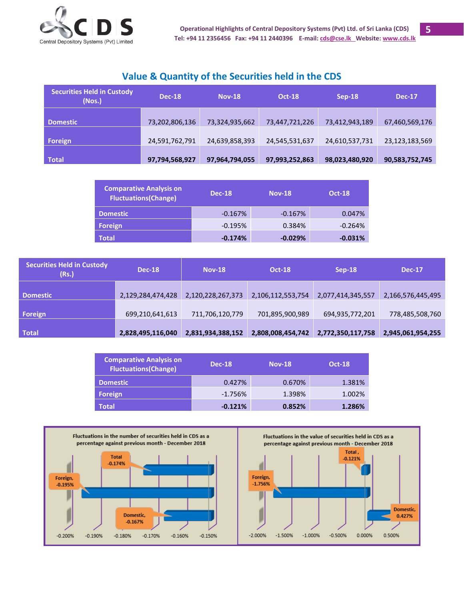

**5**

#### **Value & Quantity of the Securities held in the CDS**

| <b>Securities Held in Custody</b><br>(Nos.) | <b>Dec-18</b>  | <b>Nov-18</b>  | <b>Oct-18</b>  | $Sep-18$       | <b>Dec-17</b>  |
|---------------------------------------------|----------------|----------------|----------------|----------------|----------------|
| <b>Domestic</b>                             | 73,202,806,136 | 73,324,935,662 | 73,447,721,226 | 73,412,943,189 | 67,460,569,176 |
| Foreign                                     | 24,591,762,791 | 24,639,858,393 | 24,545,531,637 | 24,610,537,731 | 23,123,183,569 |
| <b>Total</b>                                | 97,794,568,927 | 97,964,794,055 | 97,993,252,863 | 98,023,480,920 | 90,583,752,745 |

| <b>Comparative Analysis on</b><br><b>Fluctuations(Change)</b> | <b>Dec-18</b> | <b>Nov-18</b> | <b>Oct-18</b> |
|---------------------------------------------------------------|---------------|---------------|---------------|
| <b>Domestic</b>                                               | $-0.167%$     | $-0.167%$     | 0.047%        |
| Foreign                                                       | $-0.195%$     | 0.384%        | $-0.264%$     |
| <b>Total</b>                                                  | $-0.174%$     | $-0.029%$     | $-0.031%$     |

| <b>Securities Held in Custody</b><br>(Rs.) | <b>Dec-18</b>     | <b>Nov-18</b>     | <b>Oct-18</b>     | $Sep-18$          | <b>Dec-17</b>     |
|--------------------------------------------|-------------------|-------------------|-------------------|-------------------|-------------------|
| <b>Domestic</b>                            | 2,129,284,474,428 | 2,120,228,267,373 | 2,106,112,553,754 | 2,077,414,345,557 | 2,166,576,445,495 |
| Foreign                                    | 699,210,641,613   | 711,706,120,779   | 701,895,900,989   | 694,935,772,201   | 778,485,508,760   |
| Total                                      | 2,828,495,116,040 | 2,831,934,388,152 | 2,808,008,454,742 | 2,772,350,117,758 | 2,945,061,954,255 |

| <b>Comparative Analysis on</b><br><b>Fluctuations(Change)</b> | <b>Dec-18</b> | <b>Nov-18</b> | <b>Oct-18</b> |
|---------------------------------------------------------------|---------------|---------------|---------------|
| <b>Domestic</b>                                               | 0.427%        | 0.670%        | 1.381%        |
| Foreign                                                       | $-1.756%$     | 1.398%        | 1.002%        |
| <b>Total</b>                                                  | $-0.121%$     | 0.852%        | 1.286%        |

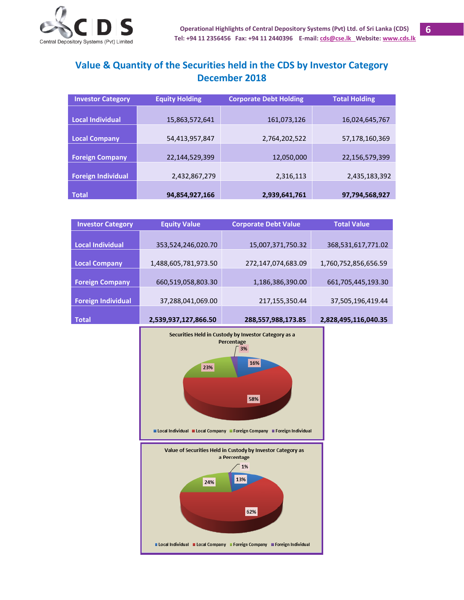

#### <span id="page-5-0"></span>**Value & Quantity of the Securities held in the CDS by Investor Category December 2018**

| <b>Investor Category</b>  | <b>Equity Holding</b> | <b>Corporate Debt Holding</b> | <b>Total Holding</b> |
|---------------------------|-----------------------|-------------------------------|----------------------|
|                           |                       |                               |                      |
| <b>Local Individual</b>   | 15,863,572,641        | 161,073,126                   | 16,024,645,767       |
|                           |                       |                               |                      |
| <b>Local Company</b>      | 54,413,957,847        | 2,764,202,522                 | 57,178,160,369       |
|                           |                       |                               |                      |
| <b>Foreign Company</b>    | 22,144,529,399        | 12,050,000                    | 22,156,579,399       |
|                           |                       |                               |                      |
| <b>Foreign Individual</b> | 2,432,867,279         | 2,316,113                     | 2,435,183,392        |
|                           |                       |                               |                      |
| <b>Total</b>              | 94,854,927,166        | 2,939,641,761                 | 97,794,568,927       |

| <b>Investor Category</b>  | <b>Equity Value</b>  | <b>Corporate Debt Value</b> | <b>Total Value</b>   |
|---------------------------|----------------------|-----------------------------|----------------------|
|                           |                      |                             |                      |
| <b>Local Individual</b>   | 353,524,246,020.70   | 15,007,371,750.32           | 368,531,617,771.02   |
|                           |                      |                             |                      |
| <b>Local Company</b>      | 1,488,605,781,973.50 | 272,147,074,683.09          | 1,760,752,856,656.59 |
|                           |                      |                             |                      |
| <b>Foreign Company</b>    | 660,519,058,803.30   | 1,186,386,390.00            | 661,705,445,193.30   |
|                           |                      |                             |                      |
| <b>Foreign Individual</b> | 37,288,041,069.00    | 217,155,350.44              | 37,505,196,419.44    |
|                           |                      |                             |                      |
| <b>Total</b>              | 2,539,937,127,866.50 | 288,557,988,173.85          | 2,828,495,116,040.35 |